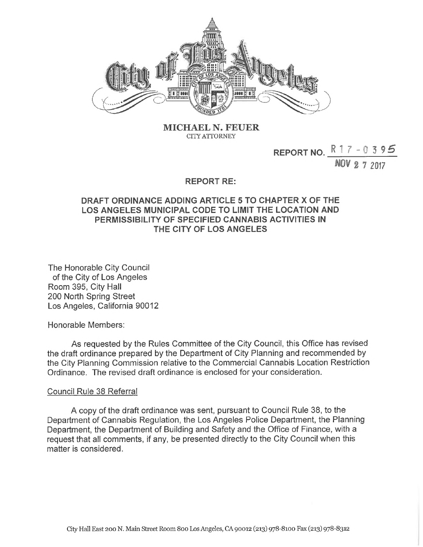

**MICHAEL** N. **FEUER CITY ATTORNEY**

## **REPORT NO.**  $\frac{R}{17} - 0.395$

**NOV 2 7 2017**

## **REPORT RE:**

## **DRAFT ORDINANCE ADDING ARTICLE 5 TO CHAPTER X OF THE LOS ANGELES MUNICIPAL CODE TO LIMIT THE LOCATION AND PERMISSIBILITY OF SPECIFIED CANNABIS ACTIVITIES IN THE CITY OF LOS ANGELES**

The Honorable City Council of the City of Los Angeles Room 395, City Hall 200 North Spring Street Los Angeles, California 90012

Honorable Members:

As requested by the Rules Committee of the City Council, this Office has revised the draft ordinance prepared by the Department of City Planning and recommended by the City Planning Commission relative to the Commercial Cannabis Location Restriction Ordinance. The revised draft ordinance is enclosed for your consideration.

## Council Rule 38 Referral

A copy of the draft ordinance was sent, pursuant to Council Rule 38, to the Department of Cannabis Regulation, the Los Angeles Police Department, the Planning Department, the Department of Building and Safety and the Office of Finance, with a request that all comments, if any, be presented directly to the City Council when this matter is considered.